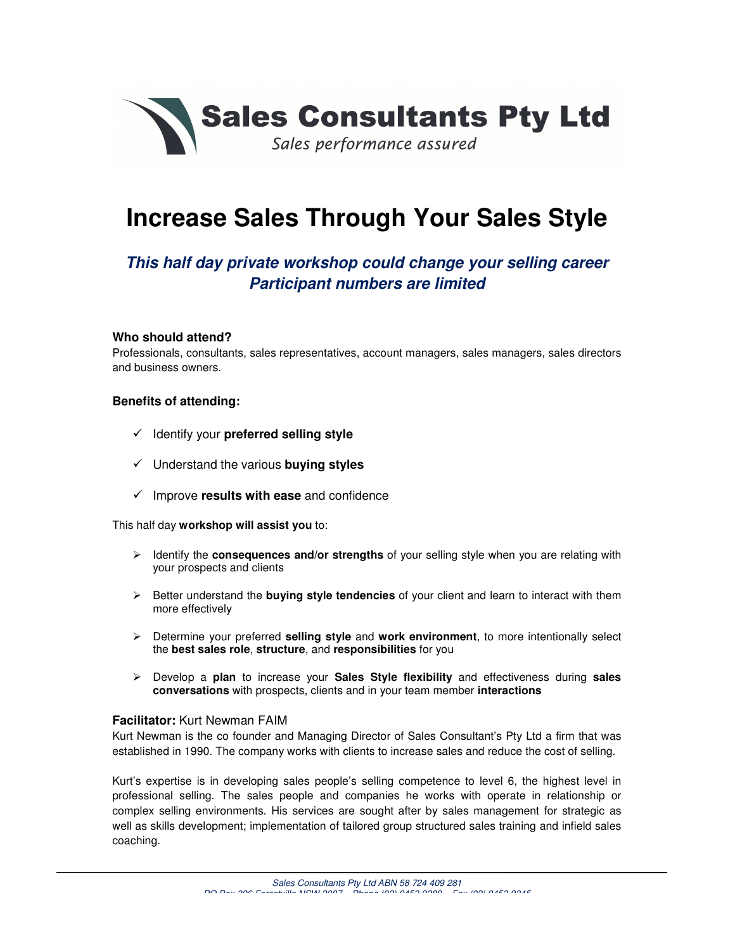

# **Increase Sales Through Your Sales Style**

# **This half day private workshop could change your selling career Participant numbers are limited**

#### **Who should attend?**

Professionals, consultants, sales representatives, account managers, sales managers, sales directors and business owners.

#### **Benefits of attending:**

- Identify your **preferred selling style**
- Understand the various **buying styles**
- $\checkmark$  Improve **results with ease** and confidence

This half day **workshop will assist you** to:

- > Identify the **consequences and/or strengths** of your selling style when you are relating with your prospects and clients
- > Better understand the **buying style tendencies** of your client and learn to interact with them more effectively
- Determine your preferred **selling style** and **work environment**, to more intentionally select the **best sales role**, **structure**, and **responsibilities** for you
- Develop a **plan** to increase your **Sales Style flexibility** and effectiveness during **sales conversations** with prospects, clients and in your team member **interactions**

#### **Facilitator:** Kurt Newman FAIM

Kurt Newman is the co founder and Managing Director of Sales Consultant's Pty Ltd a firm that was established in 1990. The company works with clients to increase sales and reduce the cost of selling.

Kurt's expertise is in developing sales people's selling competence to level 6, the highest level in professional selling. The sales people and companies he works with operate in relationship or complex selling environments. His services are sought after by sales management for strategic as well as skills development; implementation of tailored group structured sales training and infield sales coaching.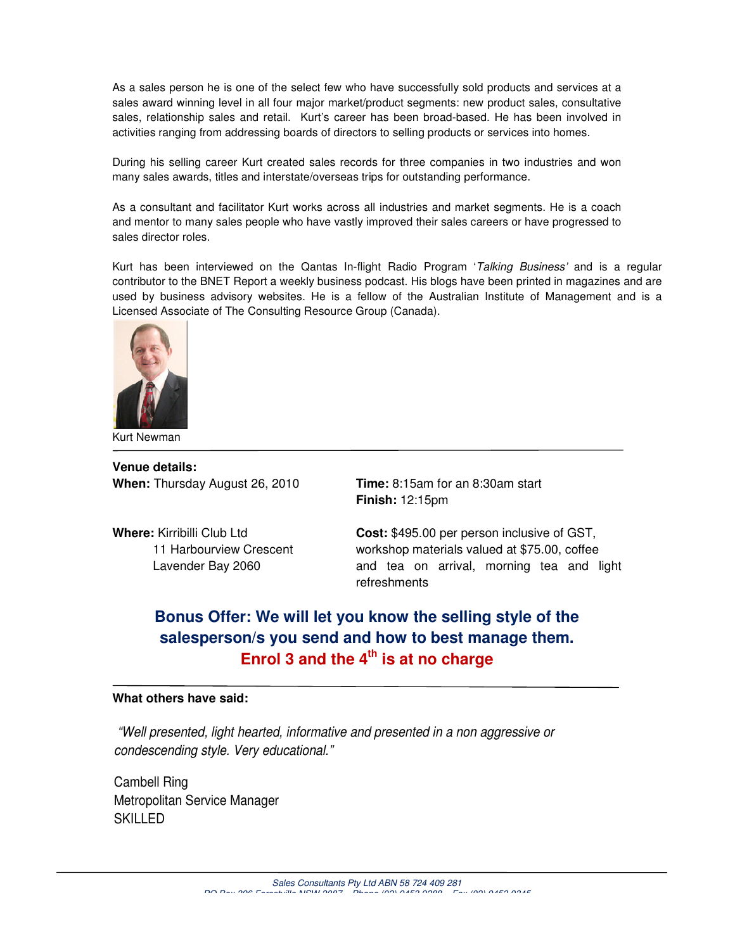As a sales person he is one of the select few who have successfully sold products and services at a sales award winning level in all four major market/product segments: new product sales, consultative sales, relationship sales and retail. Kurt's career has been broad-based. He has been involved in activities ranging from addressing boards of directors to selling products or services into homes.

During his selling career Kurt created sales records for three companies in two industries and won many sales awards, titles and interstate/overseas trips for outstanding performance.

As a consultant and facilitator Kurt works across all industries and market segments. He is a coach and mentor to many sales people who have vastly improved their sales careers or have progressed to sales director roles.

Kurt has been interviewed on the Qantas In-flight Radio Program 'Talking Business' and is a regular contributor to the BNET Report a weekly business podcast. His blogs have been printed in magazines and are used by business advisory websites. He is a fellow of the Australian Institute of Management and is a Licensed Associate of The Consulting Resource Group (Canada).



Kurt Newman

**Venue details: When:** Thursday August 26, 2010 **Time:** 8:15am for an 8:30am start

**Finish:** 12:15pm

**Where:** Kirribilli Club Ltd **Cost:** \$495.00 per person inclusive of GST, 11 Harbourview Crescent workshop materials valued at \$75.00, coffee Lavender Bay 2060 **and tea on arrival, morning tea and light** refreshments

# **Bonus Offer: We will let you know the selling style of the salesperson/s you send and how to best manage them. Enrol 3 and the 4th is at no charge**

#### **What others have said:**

 "Well presented, light hearted, informative and presented in a non aggressive or condescending style. Very educational."

Cambell Ring Metropolitan Service Manager SKILLED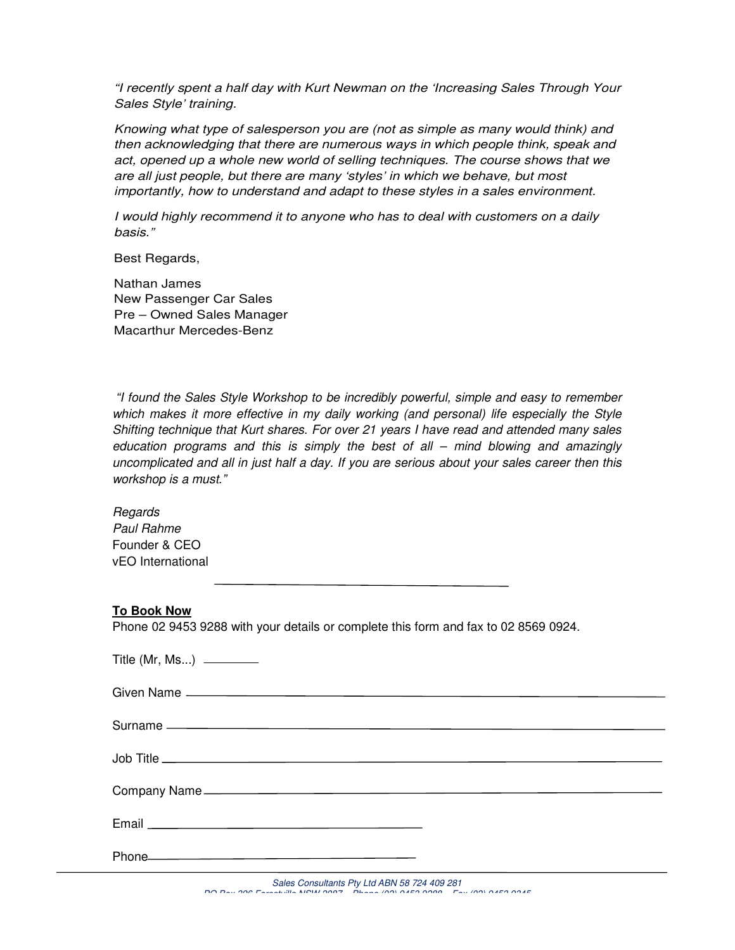"I recently spent a half day with Kurt Newman on the 'Increasing Sales Through Your Sales Style' training.

Knowing what type of salesperson you are (not as simple as many would think) and then acknowledging that there are numerous ways in which people think, speak and act, opened up a whole new world of selling techniques. The course shows that we are all just people, but there are many 'styles' in which we behave, but most importantly, how to understand and adapt to these styles in a sales environment.

I would highly recommend it to anyone who has to deal with customers on a daily basis."

Best Regards,

Nathan James New Passenger Car Sales Pre – Owned Sales Manager Macarthur Mercedes-Benz

 "I found the Sales Style Workshop to be incredibly powerful, simple and easy to remember which makes it more effective in my daily working (and personal) life especially the Style Shifting technique that Kurt shares. For over 21 years I have read and attended many sales education programs and this is simply the best of all – mind blowing and amazingly uncomplicated and all in just half a day. If you are serious about your sales career then this workshop is a must."

Regards Paul Rahme Founder & CEO vEO International

#### **To Book Now**

Phone 02 9453 9288 with your details or complete this form and fax to 02 8569 0924.

| Phone <b>Contract Contract Contract Contract Contract Contract Contract Contract Contract Contract Contract Contract Contract Contract Contract Contract Contract Contract Contract Contract Contract Contract Contract Contract</b> |  |
|--------------------------------------------------------------------------------------------------------------------------------------------------------------------------------------------------------------------------------------|--|